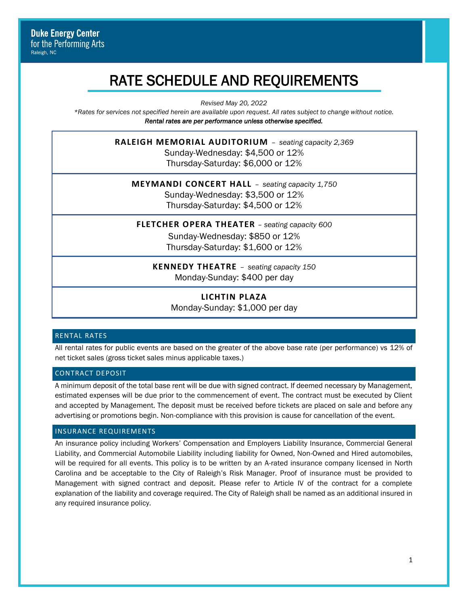# RATE SCHEDULE AND REQUIREMENTS

*Revised May 20, 2022*

*\*Rates for services not specified herein are available upon request. All rates subject to change without notice. Rental rates are per performance unless otherwise specified.* 

> **RALEIGH MEMORIAL AUDITORIUM** – *seating capacity 2,369* Sunday-Wednesday: \$4,500 or 12% Thursday-Saturday: \$6,000 or 12%

**MEYMANDI CONCERT HALL** – *seating capacity 1,750* Sunday-Wednesday: \$3,500 or 12% Thursday-Saturday: \$4,500 or 12%

**FLETCHER OPERA THEATER** – *seating capacity 600* Sunday-Wednesday: \$850 or 12% Thursday-Saturday: \$1,600 or 12%

**KENNEDY THEATRE** – *seating capacity 150*

Monday-Sunday: \$400 per day

**LICHTIN PLAZA** Monday-Sunday: \$1,000 per day

## RENTAL RATES

All rental rates for public events are based on the greater of the above base rate (per performance) vs 12% of net ticket sales (gross ticket sales minus applicable taxes.)

## CONTRACT DEPOSIT

A minimum deposit of the total base rent will be due with signed contract. If deemed necessary by Management, estimated expenses will be due prior to the commencement of event. The contract must be executed by Client and accepted by Management. The deposit must be received before tickets are placed on sale and before any advertising or promotions begin. Non-compliance with this provision is cause for cancellation of the event.

## INSURANCE REQUIREMENTS

An insurance policy including Workers' Compensation and Employers Liability Insurance, Commercial General Liability, and Commercial Automobile Liability including liability for Owned, Non-Owned and Hired automobiles, will be required for all events. This policy is to be written by an A-rated insurance company licensed in North Carolina and be acceptable to the City of Raleigh's Risk Manager. Proof of insurance must be provided to Management with signed contract and deposit. Please refer to Article IV of the contract for a complete explanation of the liability and coverage required. The City of Raleigh shall be named as an additional insured in any required insurance policy.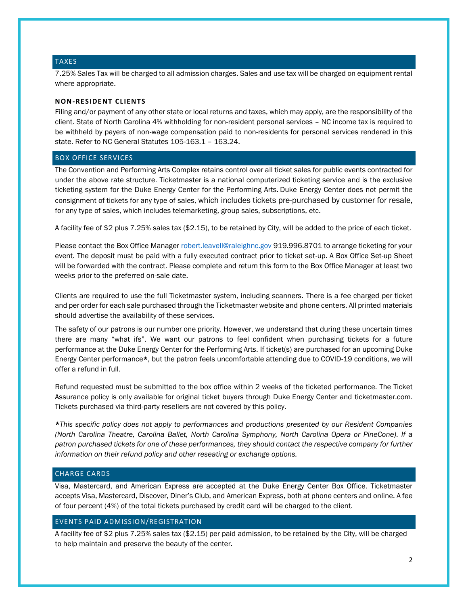#### TAXES

7.25% Sales Tax will be charged to all admission charges. Sales and use tax will be charged on equipment rental where appropriate.

#### **NON-RESIDENT CLIENTS**

Filing and/or payment of any other state or local returns and taxes, which may apply, are the responsibility of the client. State of North Carolina 4% withholding for non-resident personal services – NC income tax is required to be withheld by payers of non-wage compensation paid to non-residents for personal services rendered in this state. Refer to NC General Statutes 105-163.1 – 163.24.

#### BOX OFFICE SERVICES

The Convention and Performing Arts Complex retains control over all ticket sales for public events contracted for under the above rate structure. Ticketmaster is a national computerized ticketing service and is the exclusive ticketing system for the Duke Energy Center for the Performing Arts. Duke Energy Center does not permit the consignment of tickets for any type of sales, which includes tickets pre-purchased by customer for resale, for any type of sales, which includes telemarketing, group sales, subscriptions, etc.

A facility fee of \$2 plus 7.25% sales tax (\$2.15), to be retained by City, will be added to the price of each ticket.

Please contact the Box Office Manager [robert.leavell@raleighnc.gov](mailto:robert.leavell@raleighnc.gov) 919.996.8701 to arrange ticketing for your event. The deposit must be paid with a fully executed contract prior to ticket set-up. A Box Office Set-up Sheet will be forwarded with the contract. Please complete and return this form to the Box Office Manager at least two weeks prior to the preferred on-sale date.

Clients are required to use the full Ticketmaster system, including scanners. There is a fee charged per ticket and per order for each sale purchased through the Ticketmaster website and phone centers. All printed materials should advertise the availability of these services.

The safety of our patrons is our number one priority. However, we understand that during these uncertain times there are many "what ifs". We want our patrons to feel confident when purchasing tickets for a future performance at the Duke Energy Center for the Performing Arts. If ticket(s) are purchased for an upcoming Duke Energy Center performance\*, but the patron feels uncomfortable attending due to COVID-19 conditions, we will offer a refund in full.

Refund requested must be submitted to the box office within 2 weeks of the ticketed performance. The Ticket Assurance policy is only available for original ticket buyers through Duke Energy Center and ticketmaster.com. Tickets purchased via third-party resellers are not covered by this policy.

*\*This specific policy does not apply to performances and productions presented by our Resident Companies (North Carolina Theatre, Carolina Ballet, North Carolina Symphony, North Carolina Opera or PineCone). If a patron purchased tickets for one of these performances, they should contact the respective company for further information on their refund policy and other reseating or exchange options.*

## CHARGE CARDS

Visa, Mastercard, and American Express are accepted at the Duke Energy Center Box Office. Ticketmaster accepts Visa, Mastercard, Discover, Diner's Club, and American Express, both at phone centers and online. A fee of four percent (4%) of the total tickets purchased by credit card will be charged to the client.

#### EVENTS PAID ADMISSION/REGISTRATION

A facility fee of \$2 plus 7.25% sales tax (\$2.15) per paid admission, to be retained by the City, will be charged to help maintain and preserve the beauty of the center.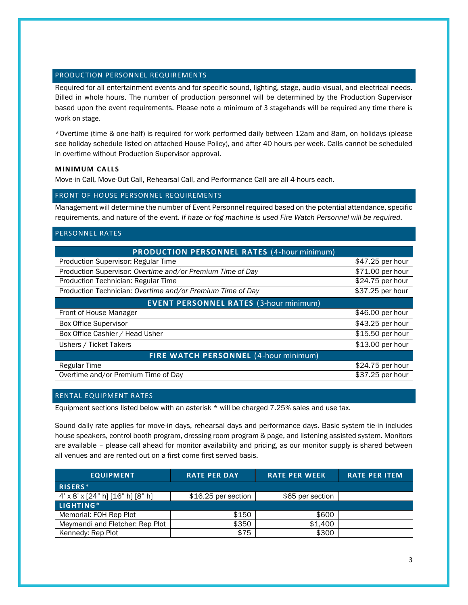# PRODUCTION PERSONNEL REQUIREMENTS

Required for all entertainment events and for specific sound, lighting, stage, audio-visual, and electrical needs. Billed in whole hours. The number of production personnel will be determined by the Production Supervisor based upon the event requirements. Please note a minimum of 3 stagehands will be required any time there is work on stage.

\*Overtime (time & one-half) is required for work performed daily between 12am and 8am, on holidays (please see holiday schedule listed on attached House Policy), and after 40 hours per week. Calls cannot be scheduled in overtime without Production Supervisor approval.

# **MINIMUM CALLS**

Move-in Call, Move-Out Call, Rehearsal Call, and Performance Call are all 4-hours each.

# FRONT OF HOUSE PERSONNEL REQUIREMENTS

Management will determine the number of Event Personnel required based on the potential attendance, specific requirements, and nature of the event. *If haze or fog machine is used Fire Watch Personnel will be required.*

# PERSONNEL RATES

| <b>PRODUCTION PERSONNEL RATES (4-hour minimum)</b>         |                  |  |  |
|------------------------------------------------------------|------------------|--|--|
| Production Supervisor: Regular Time                        | \$47.25 per hour |  |  |
| Production Supervisor: Overtime and/or Premium Time of Day | \$71.00 per hour |  |  |
| Production Technician: Regular Time                        | \$24.75 per hour |  |  |
| Production Technician: Overtime and/or Premium Time of Day | \$37.25 per hour |  |  |
| <b>EVENT PERSONNEL RATES (3-hour minimum)</b>              |                  |  |  |
| Front of House Manager                                     | \$46.00 per hour |  |  |
| <b>Box Office Supervisor</b>                               | \$43.25 per hour |  |  |
| Box Office Cashier / Head Usher                            | \$15.50 per hour |  |  |
| Ushers / Ticket Takers                                     | \$13.00 per hour |  |  |
| <b>FIRE WATCH PERSONNEL (4-hour minimum)</b>               |                  |  |  |
| Regular Time                                               | \$24.75 per hour |  |  |
| Overtime and/or Premium Time of Day                        | \$37.25 per hour |  |  |

# RENTAL EQUIPMENT RATES

Equipment sections listed below with an asterisk \* will be charged 7.25% sales and use tax.

Sound daily rate applies for move-in days, rehearsal days and performance days. Basic system tie-in includes house speakers, control booth program, dressing room program & page, and listening assisted system. Monitors are available – please call ahead for monitor availability and pricing, as our monitor supply is shared between all venues and are rented out on a first come first served basis.

| <b>EQUIPMENT</b>                 | <b>RATE PER DAY</b> | <b>RATE PER WEEK</b> | <b>RATE PER ITEM</b> |
|----------------------------------|---------------------|----------------------|----------------------|
| RISERS*                          |                     |                      |                      |
| 4' x 8' x [24" h] [16" h] [8" h] | \$16.25 per section | \$65 per section     |                      |
| LIGHTING*                        |                     |                      |                      |
| Memorial: FOH Rep Plot           | \$150               | \$600                |                      |
| Meymandi and Fletcher: Rep Plot  | \$350               | \$1,400              |                      |
| Kennedy: Rep Plot                | \$75                | \$300                |                      |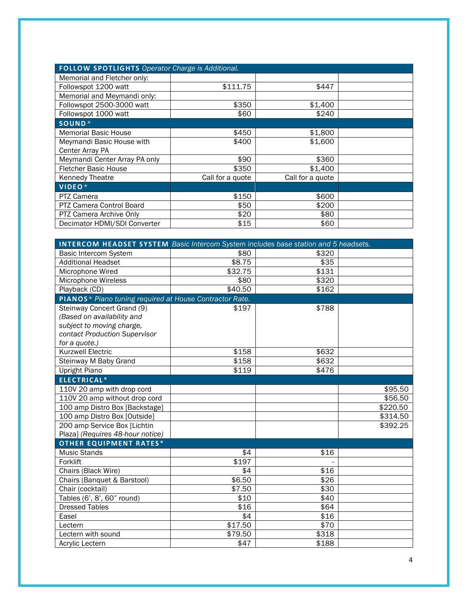| <b>FOLLOW SPOTLIGHTS Operator Charge is Additional.</b> |                  |                  |  |  |
|---------------------------------------------------------|------------------|------------------|--|--|
| Memorial and Fletcher only:                             |                  |                  |  |  |
| Followspot 1200 watt                                    | \$111.75         | \$447            |  |  |
| Memorial and Meymandi only:                             |                  |                  |  |  |
| Followspot 2500-3000 watt                               | \$350            | \$1,400          |  |  |
| Followspot 1000 watt                                    | \$60             | \$240            |  |  |
| $SOUND*$                                                |                  |                  |  |  |
| <b>Memorial Basic House</b>                             | \$450            | \$1,800          |  |  |
| Meymandi Basic House with                               | \$400            | \$1,600          |  |  |
| Center Array PA                                         |                  |                  |  |  |
| Meymandi Center Array PA only                           | \$90             | \$360            |  |  |
| <b>Fletcher Basic House</b>                             | \$350            | \$1,400          |  |  |
| Kennedy Theatre                                         | Call for a quote | Call for a quote |  |  |
| VIDEO*                                                  |                  |                  |  |  |
| <b>PTZ Camera</b>                                       | \$150            | \$600            |  |  |
| <b>PTZ Camera Control Board</b>                         | \$50             | \$200            |  |  |
| PTZ Camera Archive Only                                 | \$20             | \$80             |  |  |
| Decimator HDMI/SDI Converter                            | \$15             | \$60             |  |  |

| <b>INTERCOM HEADSET SYSTEM</b> Basic Intercom System includes base station and 5 headsets. |                    |       |          |  |
|--------------------------------------------------------------------------------------------|--------------------|-------|----------|--|
| Basic Intercom System                                                                      | \$80               | \$320 |          |  |
| <b>Additional Headset</b>                                                                  | \$8.75             | \$35  |          |  |
| Microphone Wired                                                                           | \$32.75            | \$131 |          |  |
| Microphone Wireless                                                                        | \$80               | \$320 |          |  |
| Playback (CD)                                                                              | \$40.50            | \$162 |          |  |
| PIANOS* Piano tuning required at House Contractor Rate.                                    |                    |       |          |  |
| Steinway Concert Grand (9)                                                                 | \$197              | \$788 |          |  |
| (Based on availability and                                                                 |                    |       |          |  |
| subject to moving charge,                                                                  |                    |       |          |  |
| contact Production Supervisor                                                              |                    |       |          |  |
| for a quote.)                                                                              |                    |       |          |  |
| <b>Kurzwell Electric</b>                                                                   | \$158              | \$632 |          |  |
| Steinway M Baby Grand                                                                      | \$158              | \$632 |          |  |
| <b>Upright Piano</b>                                                                       | \$119              | \$476 |          |  |
| ELECTRICAL*                                                                                |                    |       |          |  |
| 110V 20 amp with drop cord                                                                 |                    |       | \$95.50  |  |
| 110V 20 amp without drop cord                                                              |                    |       | \$56.50  |  |
| 100 amp Distro Box [Backstage]                                                             |                    |       | \$220.50 |  |
| 100 amp Distro Box [Outside]                                                               |                    |       | \$314.50 |  |
| 200 amp Service Box [Lichtin                                                               |                    |       | \$392.25 |  |
| Plaza] (Requires 48-hour notice)                                                           |                    |       |          |  |
| <b>OTHER EQUIPMENT RATES*</b>                                                              |                    |       |          |  |
| <b>Music Stands</b>                                                                        | \$4                | \$16  |          |  |
| Forklift                                                                                   | \$197              |       |          |  |
| Chairs (Black Wire)                                                                        | \$4                | \$16  |          |  |
| Chairs (Banquet & Barstool)                                                                | \$6.50             | \$26  |          |  |
| Chair (cocktail)                                                                           | $\overline{$}7.50$ | \$30  |          |  |
| Tables (6', 8', 60" round)                                                                 | \$10               | \$40  |          |  |
| <b>Dressed Tables</b>                                                                      | \$16               | \$64  |          |  |
| Easel                                                                                      | \$4                | \$16  |          |  |
| Lectern                                                                                    | \$17.50            | \$70  |          |  |
| Lectern with sound                                                                         | \$79.50            | \$318 |          |  |
| Acrylic Lectern                                                                            | \$47               | \$188 |          |  |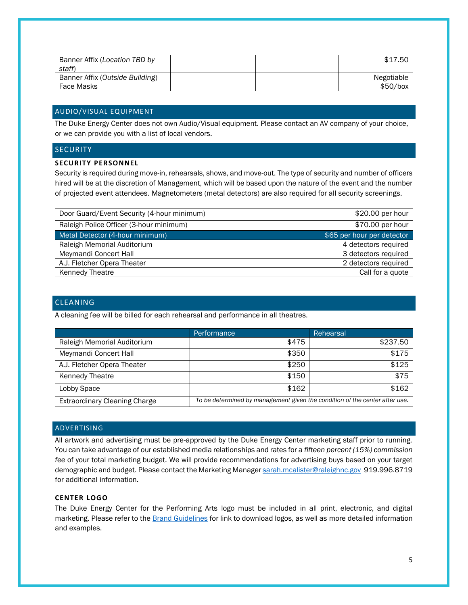| Banner Affix (Location TBD by<br>staff) |  | \$17.50    |
|-----------------------------------------|--|------------|
| Banner Affix (Outside Building)         |  | Negotiable |
| Face Masks                              |  | \$50/box   |

## AUDIO/VISUAL EQUIPMENT

The Duke Energy Center does not own Audio/Visual equipment. Please contact an AV company of your choice, or we can provide you with a list of local vendors.

## **SECURITY**

#### **SECURITY PERSONNEL**

Security is required during move-in, rehearsals, shows, and move-out. The type of security and number of officers hired will be at the discretion of Management, which will be based upon the nature of the event and the number of projected event attendees. Magnetometers (metal detectors) are also required for all security screenings.

| Door Guard/Event Security (4-hour minimum) | $$20.00$ per hour          |
|--------------------------------------------|----------------------------|
| Raleigh Police Officer (3-hour minimum)    | \$70.00 per hour           |
| Metal Detector (4-hour minimum)            | \$65 per hour per detector |
| Raleigh Memorial Auditorium                | 4 detectors required       |
| Meymandi Concert Hall                      | 3 detectors required       |
| A.J. Fletcher Opera Theater                | 2 detectors required       |
| <b>Kennedy Theatre</b>                     | Call for a quote           |

# CLEANING

A cleaning fee will be billed for each rehearsal and performance in all theatres.

|                                      | Performance                                                                 | Rehearsal |
|--------------------------------------|-----------------------------------------------------------------------------|-----------|
| Raleigh Memorial Auditorium          | \$475                                                                       | \$237.50  |
| Meymandi Concert Hall                | \$350                                                                       | \$175     |
| A.J. Fletcher Opera Theater          | \$250                                                                       | \$125     |
| <b>Kennedy Theatre</b>               | \$150                                                                       | \$75      |
| Lobby Space                          | \$162                                                                       | \$162     |
| <b>Extraordinary Cleaning Charge</b> | To be determined by management given the condition of the center after use. |           |

#### ADVERTISING

All artwork and advertising must be pre-approved by the Duke Energy Center marketing staff prior to running. You can take advantage of our established media relationships and rates for a *fifteen percent (15%) commission fee* of your total marketing budget. We will provide recommendations for advertising buys based on your target demographic and budget. Please contact the Marketing Manager [sarah.mcalister@raleighnc.gov](mailto:sarah.mcalister@raleighnc.gov) 919.996.8719 for additional information.

#### **CENTER LOGO**

The Duke Energy Center for the Performing Arts logo must be included in all print, electronic, and digital marketing. Please refer to the **Brand Guidelines** for link to download logos, as well as more detailed information and examples.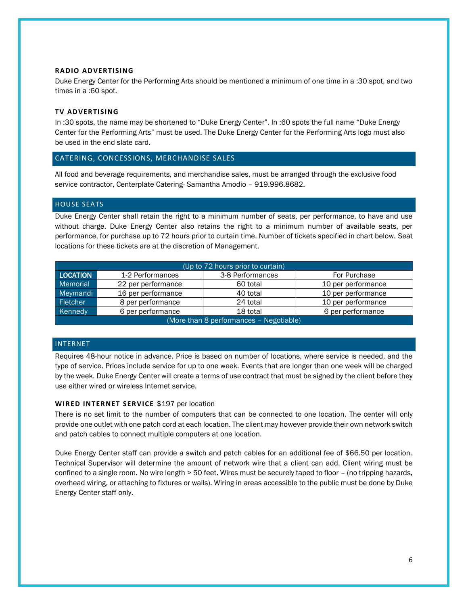#### **RADIO ADVERTISING**

Duke Energy Center for the Performing Arts should be mentioned a minimum of one time in a :30 spot, and two times in a :60 spot.

#### **TV ADVERTISING**

In :30 spots, the name may be shortened to "Duke Energy Center". In :60 spots the full name "Duke Energy Center for the Performing Arts" must be used. The Duke Energy Center for the Performing Arts logo must also be used in the end slate card.

## CATERING, CONCESSIONS, MERCHANDISE SALES

All food and beverage requirements, and merchandise sales, must be arranged through the exclusive food service contractor, Centerplate Catering- Samantha Amodio – 919.996.8682.

#### HOUSE SEATS

Duke Energy Center shall retain the right to a minimum number of seats, per performance, to have and use without charge. Duke Energy Center also retains the right to a minimum number of available seats, per performance, for purchase up to 72 hours prior to curtain time. Number of tickets specified in chart below. Seat locations for these tickets are at the discretion of Management.

| (Up to 72 hours prior to curtain)       |                    |                  |                    |  |
|-----------------------------------------|--------------------|------------------|--------------------|--|
| LOCATION                                | 1-2 Performances   | 3-8 Performances | For Purchase       |  |
| Memorial                                | 22 per performance | 60 total         | 10 per performance |  |
| Meymandi                                | 16 per performance | 40 total         | 10 per performance |  |
| Fletcher                                | 8 per performance  | 24 total         | 10 per performance |  |
| Kennedy                                 | 6 per performance  | 18 total         | 6 per performance  |  |
| (More than 8 performances - Negotiable) |                    |                  |                    |  |

## INTERNET

Requires 48-hour notice in advance. Price is based on number of locations, where service is needed, and the type of service. Prices include service for up to one week. Events that are longer than one week will be charged by the week. Duke Energy Center will create a terms of use contract that must be signed by the client before they use either wired or wireless Internet service.

# **WIRED INTERNET SERVICE \$197 per location**

There is no set limit to the number of computers that can be connected to one location. The center will only provide one outlet with one patch cord at each location. The client may however provide their own network switch and patch cables to connect multiple computers at one location.

Duke Energy Center staff can provide a switch and patch cables for an additional fee of \$66.50 per location. Technical Supervisor will determine the amount of network wire that a client can add. Client wiring must be confined to a single room. No wire length > 50 feet. Wires must be securely taped to floor – (no tripping hazards, overhead wiring, or attaching to fixtures or walls). Wiring in areas accessible to the public must be done by Duke Energy Center staff only.